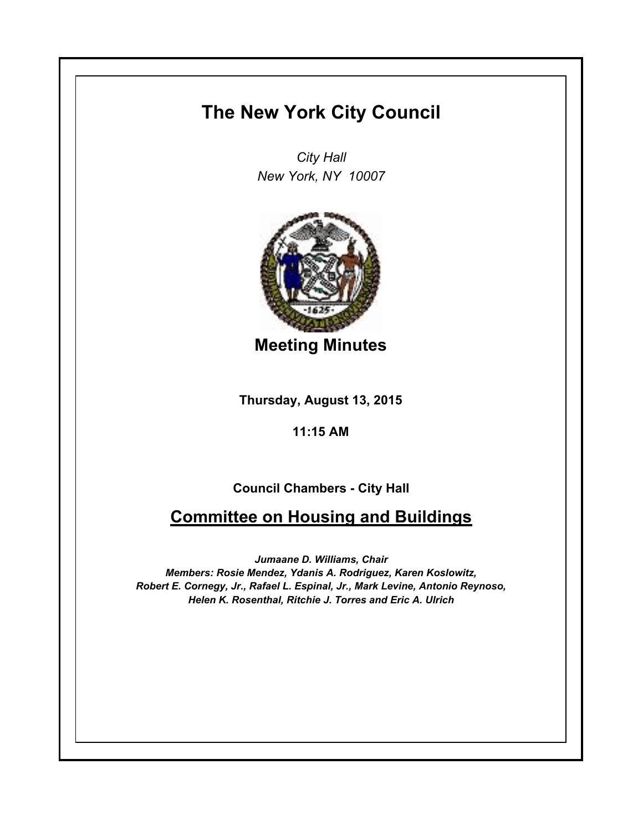## **The New York City Council**

*City Hall New York, NY 10007*



**Meeting Minutes**

**Thursday, August 13, 2015**

**11:15 AM**

**Council Chambers - City Hall**

## **Committee on Housing and Buildings**

*Jumaane D. Williams, Chair Members: Rosie Mendez, Ydanis A. Rodriguez, Karen Koslowitz, Robert E. Cornegy, Jr., Rafael L. Espinal, Jr., Mark Levine, Antonio Reynoso, Helen K. Rosenthal, Ritchie J. Torres and Eric A. Ulrich*